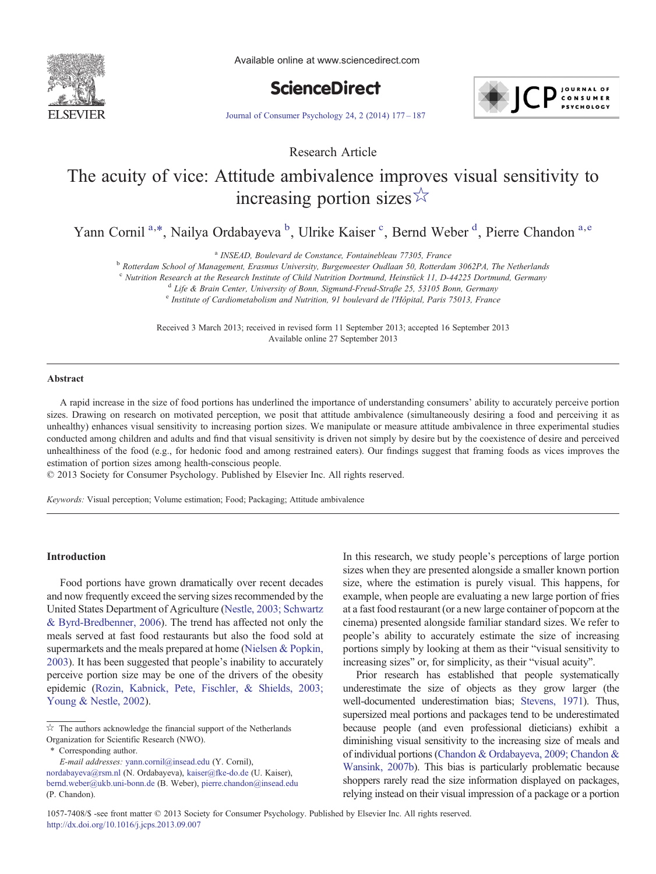

Available online at www.sciencedirect.com





[Journal of Consumer Psychology 24, 2 \(2014\) 177](http://dx.doi.org/10.1016/j.jcps.2013.09.007)–187

Research Article

# The acuity of vice: Attitude ambivalence improves visual sensitivity to increasing portion sizes☆

Yann Cornil<sup>a,\*</sup>, Nailya Ordabayeva<sup>b</sup>, Ulrike Kaiser<sup>c</sup>, Bernd Weber<sup>d</sup>, Pierre Chandon<sup>a,e</sup>

<sup>a</sup> INSEAD, Boulevard de Constance, Fontainebleau 77305, France<br><sup>b</sup> Rotterdam School of Management, Erasmus University, Burgemeester Oudlaan 50, Rotterdam 3062PA, The Netherlands

<sup>c</sup> Nutrition Research at the Research Institute of Child Nutrition Dortmund, Heinstück 11, D-44225 Dortmund, Germany d Life & Brain Center, University of Bonn, Sigmund-Freud-Straße 25, 53105 Bonn, Germany

<sup>e</sup> Institute of Cardiometabolism and Nutrition, 91 boulevard de l'Hôpital, Paris 75013, France

Received 3 March 2013; received in revised form 11 September 2013; accepted 16 September 2013 Available online 27 September 2013

#### Abstract

A rapid increase in the size of food portions has underlined the importance of understanding consumers' ability to accurately perceive portion sizes. Drawing on research on motivated perception, we posit that attitude ambivalence (simultaneously desiring a food and perceiving it as unhealthy) enhances visual sensitivity to increasing portion sizes. We manipulate or measure attitude ambivalence in three experimental studies conducted among children and adults and find that visual sensitivity is driven not simply by desire but by the coexistence of desire and perceived unhealthiness of the food (e.g., for hedonic food and among restrained eaters). Our findings suggest that framing foods as vices improves the estimation of portion sizes among health-conscious people.

© 2013 Society for Consumer Psychology. Published by Elsevier Inc. All rights reserved.

Keywords: Visual perception; Volume estimation; Food; Packaging; Attitude ambivalence

# Introduction

Food portions have grown dramatically over recent decades and now frequently exceed the serving sizes recommended by the United States Department of Agriculture [\(Nestle, 2003; Schwartz](#page-9-0) [& Byrd-Bredbenner, 2006](#page-9-0)). The trend has affected not only the meals served at fast food restaurants but also the food sold at supermarkets and the meals prepared at home [\(Nielsen & Popkin,](#page-9-0) [2003](#page-9-0)). It has been suggested that people's inability to accurately perceive portion size may be one of the drivers of the obesity epidemic ([Rozin, Kabnick, Pete, Fischler, & Shields, 2003;](#page-9-0) [Young & Nestle, 2002\)](#page-9-0).

⁎ Corresponding author.

In this research, we study people's perceptions of large portion sizes when they are presented alongside a smaller known portion size, where the estimation is purely visual. This happens, for example, when people are evaluating a new large portion of fries at a fast food restaurant (or a new large container of popcorn at the cinema) presented alongside familiar standard sizes. We refer to people's ability to accurately estimate the size of increasing portions simply by looking at them as their "visual sensitivity to increasing sizes" or, for simplicity, as their "visual acuity".

Prior research has established that people systematically underestimate the size of objects as they grow larger (the well-documented underestimation bias; [Stevens, 1971\)](#page-10-0). Thus, supersized meal portions and packages tend to be underestimated because people (and even professional dieticians) exhibit a diminishing visual sensitivity to the increasing size of meals and of individual portions ([Chandon & Ordabayeva, 2009; Chandon &](#page-9-0) [Wansink, 2007b\)](#page-9-0). This bias is particularly problematic because shoppers rarely read the size information displayed on packages, relying instead on their visual impression of a package or a portion

<sup>☆</sup> The authors acknowledge the financial support of the Netherlands Organization for Scientific Research (NWO).

E-mail addresses: [yann.cornil@insead.edu](mailto:yann.cornil@insead.edu) (Y. Cornil),

[nordabayeva@rsm.nl](mailto:nordabayeva@rsm.nl) (N. Ordabayeva), [kaiser@fke-do.de](mailto:kaiser@fke-do.de) (U. Kaiser), [bernd.weber@ukb.uni-bonn.de](mailto:bernd.weber@ukb.uni-bonn.de) (B. Weber), [pierre.chandon@insead.edu](mailto:pierre.chandon@insead.edu) (P. Chandon).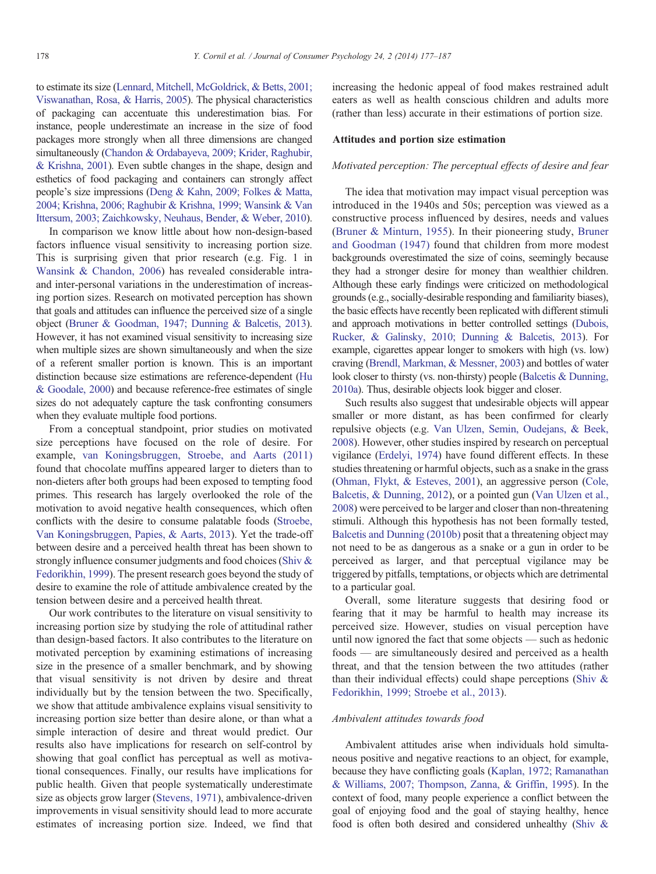to estimate its size ([Lennard, Mitchell, McGoldrick, & Betts, 2001;](#page-9-0) [Viswanathan, Rosa, & Harris, 2005](#page-9-0)). The physical characteristics of packaging can accentuate this underestimation bias. For instance, people underestimate an increase in the size of food packages more strongly when all three dimensions are changed simultaneously [\(Chandon & Ordabayeva, 2009; Krider, Raghubir,](#page-9-0) [& Krishna, 2001](#page-9-0)). Even subtle changes in the shape, design and esthetics of food packaging and containers can strongly affect people's size impressions [\(Deng & Kahn, 2009; Folkes & Matta,](#page-9-0) [2004; Krishna, 2006; Raghubir & Krishna, 1999; Wansink & Van](#page-9-0) [Ittersum, 2003; Zaichkowsky, Neuhaus, Bender, & Weber, 2010](#page-9-0)).

In comparison we know little about how non-design-based factors influence visual sensitivity to increasing portion size. This is surprising given that prior research (e.g. Fig. 1 in [Wansink & Chandon, 2006](#page-10-0)) has revealed considerable intraand inter-personal variations in the underestimation of increasing portion sizes. Research on motivated perception has shown that goals and attitudes can influence the perceived size of a single object ([Bruner & Goodman, 1947; Dunning & Balcetis, 2013](#page-9-0)). However, it has not examined visual sensitivity to increasing size when multiple sizes are shown simultaneously and when the size of a referent smaller portion is known. This is an important distinction because size estimations are reference-dependent ([Hu](#page-9-0) [& Goodale, 2000](#page-9-0)) and because reference-free estimates of single sizes do not adequately capture the task confronting consumers when they evaluate multiple food portions.

From a conceptual standpoint, prior studies on motivated size perceptions have focused on the role of desire. For example, [van Koningsbruggen, Stroebe, and Aarts \(2011\)](#page-10-0) found that chocolate muffins appeared larger to dieters than to non-dieters after both groups had been exposed to tempting food primes. This research has largely overlooked the role of the motivation to avoid negative health consequences, which often conflicts with the desire to consume palatable foods ([Stroebe,](#page-10-0) [Van Koningsbruggen, Papies, & Aarts, 2013\)](#page-10-0). Yet the trade-off between desire and a perceived health threat has been shown to strongly influence consumer judgments and food choices [\(Shiv &](#page-10-0) [Fedorikhin, 1999](#page-10-0)). The present research goes beyond the study of desire to examine the role of attitude ambivalence created by the tension between desire and a perceived health threat.

Our work contributes to the literature on visual sensitivity to increasing portion size by studying the role of attitudinal rather than design-based factors. It also contributes to the literature on motivated perception by examining estimations of increasing size in the presence of a smaller benchmark, and by showing that visual sensitivity is not driven by desire and threat individually but by the tension between the two. Specifically, we show that attitude ambivalence explains visual sensitivity to increasing portion size better than desire alone, or than what a simple interaction of desire and threat would predict. Our results also have implications for research on self-control by showing that goal conflict has perceptual as well as motivational consequences. Finally, our results have implications for public health. Given that people systematically underestimate size as objects grow larger ([Stevens, 1971](#page-10-0)), ambivalence-driven improvements in visual sensitivity should lead to more accurate estimates of increasing portion size. Indeed, we find that increasing the hedonic appeal of food makes restrained adult eaters as well as health conscious children and adults more (rather than less) accurate in their estimations of portion size.

#### Attitudes and portion size estimation

# Motivated perception: The perceptual effects of desire and fear

The idea that motivation may impact visual perception was introduced in the 1940s and 50s; perception was viewed as a constructive process influenced by desires, needs and values ([Bruner & Minturn, 1955](#page-9-0)). In their pioneering study, [Bruner](#page-9-0) [and Goodman \(1947\)](#page-9-0) found that children from more modest backgrounds overestimated the size of coins, seemingly because they had a stronger desire for money than wealthier children. Although these early findings were criticized on methodological grounds (e.g., socially-desirable responding and familiarity biases), the basic effects have recently been replicated with different stimuli and approach motivations in better controlled settings ([Dubois,](#page-9-0) [Rucker, & Galinsky, 2010; Dunning & Balcetis, 2013\)](#page-9-0). For example, cigarettes appear longer to smokers with high (vs. low) craving [\(Brendl, Markman, & Messner, 2003\)](#page-9-0) and bottles of water look closer to thirsty (vs. non-thirsty) people ([Balcetis & Dunning,](#page-9-0) [2010a](#page-9-0)). Thus, desirable objects look bigger and closer.

Such results also suggest that undesirable objects will appear smaller or more distant, as has been confirmed for clearly repulsive objects (e.g. [Van Ulzen, Semin, Oudejans, & Beek,](#page-10-0) [2008](#page-10-0)). However, other studies inspired by research on perceptual vigilance ([Erdelyi, 1974\)](#page-9-0) have found different effects. In these studies threatening or harmful objects, such as a snake in the grass ([Ohman, Flykt, & Esteves, 2001\)](#page-9-0), an aggressive person ([Cole,](#page-9-0) [Balcetis, & Dunning, 2012](#page-9-0)), or a pointed gun [\(Van Ulzen et al.,](#page-10-0) [2008](#page-10-0)) were perceived to be larger and closer than non-threatening stimuli. Although this hypothesis has not been formally tested, [Balcetis and Dunning \(2010b\)](#page-9-0) posit that a threatening object may not need to be as dangerous as a snake or a gun in order to be perceived as larger, and that perceptual vigilance may be triggered by pitfalls, temptations, or objects which are detrimental to a particular goal.

Overall, some literature suggests that desiring food or fearing that it may be harmful to health may increase its perceived size. However, studies on visual perception have until now ignored the fact that some objects — such as hedonic foods — are simultaneously desired and perceived as a health threat, and that the tension between the two attitudes (rather than their individual effects) could shape perceptions (Shiv  $\&$ [Fedorikhin, 1999; Stroebe et al., 2013\)](#page-10-0).

#### Ambivalent attitudes towards food

Ambivalent attitudes arise when individuals hold simultaneous positive and negative reactions to an object, for example, because they have conflicting goals [\(Kaplan, 1972; Ramanathan](#page-9-0) [& Williams, 2007; Thompson, Zanna, & Griffin, 1995](#page-9-0)). In the context of food, many people experience a conflict between the goal of enjoying food and the goal of staying healthy, hence food is often both desired and considered unhealthy ([Shiv &](#page-10-0)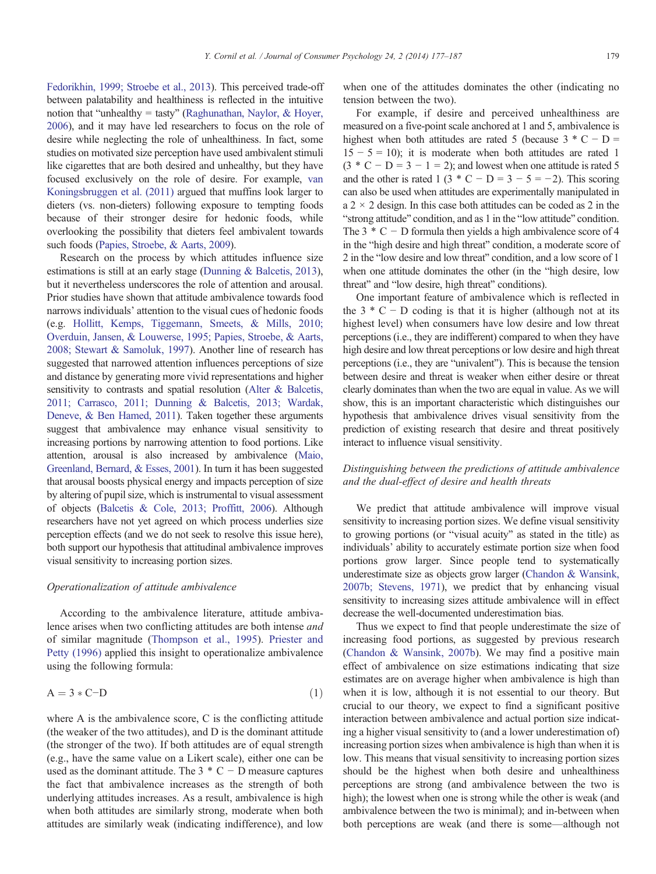[Fedorikhin, 1999; Stroebe et al., 2013](#page-10-0)). This perceived trade-off between palatability and healthiness is reflected in the intuitive notion that "unhealthy  $=$  tasty" ([Raghunathan, Naylor, & Hoyer,](#page-9-0) [2006\)](#page-9-0), and it may have led researchers to focus on the role of desire while neglecting the role of unhealthiness. In fact, some studies on motivated size perception have used ambivalent stimuli like cigarettes that are both desired and unhealthy, but they have focused exclusively on the role of desire. For example, [van](#page-10-0) [Koningsbruggen et al. \(2011\)](#page-10-0) argued that muffins look larger to dieters (vs. non-dieters) following exposure to tempting foods because of their stronger desire for hedonic foods, while overlooking the possibility that dieters feel ambivalent towards such foods [\(Papies, Stroebe, & Aarts, 2009](#page-9-0)).

Research on the process by which attitudes influence size estimations is still at an early stage ([Dunning & Balcetis, 2013\)](#page-9-0), but it nevertheless underscores the role of attention and arousal. Prior studies have shown that attitude ambivalence towards food narrows individuals' attention to the visual cues of hedonic foods (e.g. [Hollitt, Kemps, Tiggemann, Smeets, & Mills, 2010;](#page-9-0) [Overduin, Jansen, & Louwerse, 1995; Papies, Stroebe, & Aarts,](#page-9-0) [2008; Stewart & Samoluk, 1997\)](#page-9-0). Another line of research has suggested that narrowed attention influences perceptions of size and distance by generating more vivid representations and higher sensitivity to contrasts and spatial resolution ([Alter & Balcetis,](#page-8-0) [2011; Carrasco, 2011; Dunning & Balcetis, 2013; Wardak,](#page-8-0) [Deneve, & Ben Hamed, 2011](#page-8-0)). Taken together these arguments suggest that ambivalence may enhance visual sensitivity to increasing portions by narrowing attention to food portions. Like attention, arousal is also increased by ambivalence [\(Maio,](#page-9-0) [Greenland, Bernard, & Esses, 2001](#page-9-0)). In turn it has been suggested that arousal boosts physical energy and impacts perception of size by altering of pupil size, which is instrumental to visual assessment of objects [\(Balcetis & Cole, 2013; Proffitt, 2006\)](#page-8-0). Although researchers have not yet agreed on which process underlies size perception effects (and we do not seek to resolve this issue here), both support our hypothesis that attitudinal ambivalence improves visual sensitivity to increasing portion sizes.

#### Operationalization of attitude ambivalence

According to the ambivalence literature, attitude ambivalence arises when two conflicting attitudes are both intense and of similar magnitude ([Thompson et al., 1995\)](#page-10-0). [Priester and](#page-9-0) [Petty \(1996\)](#page-9-0) applied this insight to operationalize ambivalence using the following formula:

$$
A = 3 * C - D \tag{1}
$$

where A is the ambivalence score, C is the conflicting attitude (the weaker of the two attitudes), and D is the dominant attitude (the stronger of the two). If both attitudes are of equal strength (e.g., have the same value on a Likert scale), either one can be used as the dominant attitude. The  $3 * C - D$  measure captures the fact that ambivalence increases as the strength of both underlying attitudes increases. As a result, ambivalence is high when both attitudes are similarly strong, moderate when both attitudes are similarly weak (indicating indifference), and low

when one of the attitudes dominates the other (indicating no tension between the two).

For example, if desire and perceived unhealthiness are measured on a five-point scale anchored at 1 and 5, ambivalence is highest when both attitudes are rated 5 (because  $3 * C - D =$  $15 - 5 = 10$ ; it is moderate when both attitudes are rated 1  $(3 \cdot C - D = 3 - 1 = 2)$ ; and lowest when one attitude is rated 5 and the other is rated 1 (3  $*$  C − D = 3 − 5 = −2). This scoring can also be used when attitudes are experimentally manipulated in  $a$  2  $\times$  2 design. In this case both attitudes can be coded as 2 in the "strong attitude" condition, and as 1 in the "low attitude" condition. The 3  $*$  C − D formula then yields a high ambivalence score of 4 in the "high desire and high threat" condition, a moderate score of 2 in the "low desire and low threat" condition, and a low score of 1 when one attitude dominates the other (in the "high desire, low threat" and "low desire, high threat" conditions).

One important feature of ambivalence which is reflected in the  $3 * C - D$  coding is that it is higher (although not at its highest level) when consumers have low desire and low threat perceptions (i.e., they are indifferent) compared to when they have high desire and low threat perceptions or low desire and high threat perceptions (i.e., they are "univalent"). This is because the tension between desire and threat is weaker when either desire or threat clearly dominates than when the two are equal in value. As we will show, this is an important characteristic which distinguishes our hypothesis that ambivalence drives visual sensitivity from the prediction of existing research that desire and threat positively interact to influence visual sensitivity.

# Distinguishing between the predictions of attitude ambivalence and the dual-effect of desire and health threats

We predict that attitude ambivalence will improve visual sensitivity to increasing portion sizes. We define visual sensitivity to growing portions (or "visual acuity" as stated in the title) as individuals' ability to accurately estimate portion size when food portions grow larger. Since people tend to systematically underestimate size as objects grow larger [\(Chandon & Wansink,](#page-9-0) [2007b; Stevens, 1971\)](#page-9-0), we predict that by enhancing visual sensitivity to increasing sizes attitude ambivalence will in effect decrease the well-documented underestimation bias.

Thus we expect to find that people underestimate the size of increasing food portions, as suggested by previous research ([Chandon & Wansink, 2007b\)](#page-9-0). We may find a positive main effect of ambivalence on size estimations indicating that size estimates are on average higher when ambivalence is high than when it is low, although it is not essential to our theory. But crucial to our theory, we expect to find a significant positive interaction between ambivalence and actual portion size indicating a higher visual sensitivity to (and a lower underestimation of) increasing portion sizes when ambivalence is high than when it is low. This means that visual sensitivity to increasing portion sizes should be the highest when both desire and unhealthiness perceptions are strong (and ambivalence between the two is high); the lowest when one is strong while the other is weak (and ambivalence between the two is minimal); and in-between when both perceptions are weak (and there is some—although not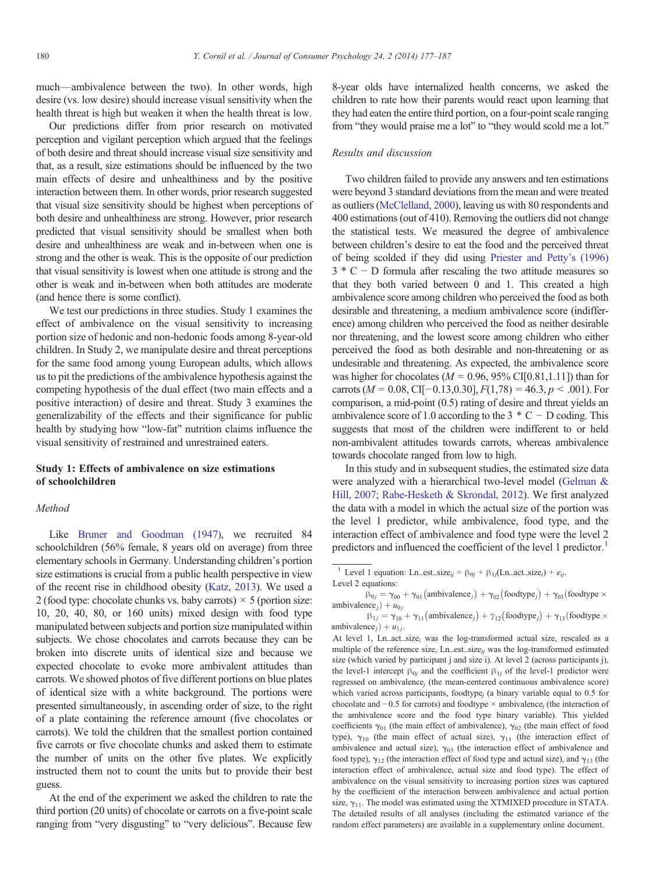much—ambivalence between the two). In other words, high desire (vs. low desire) should increase visual sensitivity when the health threat is high but weaken it when the health threat is low.

Our predictions differ from prior research on motivated perception and vigilant perception which argued that the feelings of both desire and threat should increase visual size sensitivity and that, as a result, size estimations should be influenced by the two main effects of desire and unhealthiness and by the positive interaction between them. In other words, prior research suggested that visual size sensitivity should be highest when perceptions of both desire and unhealthiness are strong. However, prior research predicted that visual sensitivity should be smallest when both desire and unhealthiness are weak and in-between when one is strong and the other is weak. This is the opposite of our prediction that visual sensitivity is lowest when one attitude is strong and the other is weak and in-between when both attitudes are moderate (and hence there is some conflict).

We test our predictions in three studies. Study 1 examines the effect of ambivalence on the visual sensitivity to increasing portion size of hedonic and non-hedonic foods among 8-year-old children. In Study 2, we manipulate desire and threat perceptions for the same food among young European adults, which allows us to pit the predictions of the ambivalence hypothesis against the competing hypothesis of the dual effect (two main effects and a positive interaction) of desire and threat. Study 3 examines the generalizability of the effects and their significance for public health by studying how "low-fat" nutrition claims influence the visual sensitivity of restrained and unrestrained eaters.

# Study 1: Effects of ambivalence on size estimations of schoolchildren

# Method

Like [Bruner and Goodman \(1947\),](#page-9-0) we recruited 84 schoolchildren (56% female, 8 years old on average) from three elementary schools in Germany. Understanding children's portion size estimations is crucial from a public health perspective in view of the recent rise in childhood obesity [\(Katz, 2013\)](#page-9-0). We used a 2 (food type: chocolate chunks vs. baby carrots)  $\times$  5 (portion size: 10, 20, 40, 80, or 160 units) mixed design with food type manipulated between subjects and portion size manipulated within subjects. We chose chocolates and carrots because they can be broken into discrete units of identical size and because we expected chocolate to evoke more ambivalent attitudes than carrots. We showed photos of five different portions on blue plates of identical size with a white background. The portions were presented simultaneously, in ascending order of size, to the right of a plate containing the reference amount (five chocolates or carrots). We told the children that the smallest portion contained five carrots or five chocolate chunks and asked them to estimate the number of units on the other five plates. We explicitly instructed them not to count the units but to provide their best guess.

At the end of the experiment we asked the children to rate the third portion (20 units) of chocolate or carrots on a five-point scale ranging from "very disgusting" to "very delicious". Because few

8-year olds have internalized health concerns, we asked the children to rate how their parents would react upon learning that they had eaten the entire third portion, on a four-point scale ranging from "they would praise me a lot" to "they would scold me a lot."

## Results and discussion

Two children failed to provide any answers and ten estimations were beyond 3 standard deviations from the mean and were treated as outliers ([McClelland, 2000](#page-9-0)), leaving us with 80 respondents and 400 estimations (out of 410). Removing the outliers did not change the statistical tests. We measured the degree of ambivalence between children's desire to eat the food and the perceived threat of being scolded if they did using [Priester and Petty's \(1996\)](#page-9-0) 3 ∗ C − D formula after rescaling the two attitude measures so that they both varied between 0 and 1. This created a high ambivalence score among children who perceived the food as both desirable and threatening, a medium ambivalence score (indifference) among children who perceived the food as neither desirable nor threatening, and the lowest score among children who either perceived the food as both desirable and non-threatening or as undesirable and threatening. As expected, the ambivalence score was higher for chocolates ( $M = 0.96, 95\%$  CI[0.81,1.11]) than for carrots ( $M = 0.08$ , CI[-0.13,0.30],  $F(1,78) = 46.3$ ,  $p < .001$ ). For comparison, a mid-point (0.5) rating of desire and threat yields an ambivalence score of 1.0 according to the 3  $*$  C − D coding. This suggests that most of the children were indifferent to or held non-ambivalent attitudes towards carrots, whereas ambivalence towards chocolate ranged from low to high.

In this study and in subsequent studies, the estimated size data were analyzed with a hierarchical two-level model ([Gelman &](#page-9-0) [Hill, 2007; Rabe-Hesketh & Skrondal, 2012](#page-9-0)). We first analyzed the data with a model in which the actual size of the portion was the level 1 predictor, while ambivalence, food type, and the interaction effect of ambivalence and food type were the level 2 predictors and influenced the coefficient of the level 1 predictor.<sup>1</sup>

At level 1,  $Ln\_act\_size_i$  was the log-transformed actual size, rescaled as a multiple of the reference size,  $Ln\_est\_size_{ii}$  was the log-transformed estimated size (which varied by participant j and size i). At level 2 (across participants j), the level-1 intercept  $\beta_{0j}$  and the coefficient  $\beta_{1j}$  of the level-1 predictor were regressed on ambivalence<sub>i</sub> (the mean-centered continuous ambivalence score) which varied across participants, foodtype<sub>i</sub> (a binary variable equal to  $0.5$  for chocolate and  $-0.5$  for carrots) and foodtype  $\times$  ambivalence<sub>j</sub> (the interaction of the ambivalence score and the food type binary variable). This yielded coefficients  $\gamma_{01}$  (the main effect of ambivalence),  $\gamma_{02}$  (the main effect of food type),  $\gamma_{10}$  (the main effect of actual size),  $\gamma_{11}$  (the interaction effect of ambivalence and actual size),  $\gamma_{03}$  (the interaction effect of ambivalence and food type),  $\gamma_{12}$  (the interaction effect of food type and actual size), and  $\gamma_{13}$  (the interaction effect of ambivalence, actual size and food type). The effect of ambivalence on the visual sensitivity to increasing portion sizes was captured by the coefficient of the interaction between ambivalence and actual portion size,  $\gamma_{11}$ . The model was estimated using the XTMIXED procedure in STATA. The detailed results of all analyses (including the estimated variance of the random effect parameters) are available in a supplementary online document.

<sup>&</sup>lt;sup>1</sup> Level 1 equation: Ln\_est\_size<sub>ij</sub> =  $\beta_{0j} + \beta_{1j}$ (Ln\_act\_size<sub>i</sub>) +  $e_{ij}$ . Level 2 equations:

 $\beta_{0j} = \gamma_{00} + \gamma_{01} (\text{ambivalence}_j) + \gamma_{02} (\text{foodtype}_j) + \gamma_{03} (\text{foodtype} \times$ ambivalence<sub>j</sub> $+u_{0j}$ 

 $\beta_{1j} = \gamma_{10} + \gamma_{11}$ (ambivalence<sub>j</sub>) +  $\gamma_{12}$ (foodtype<sub>j</sub>) +  $\gamma_{13}$ (foodtype × ambivalence<sub>j</sub> $+u_{1j}$ .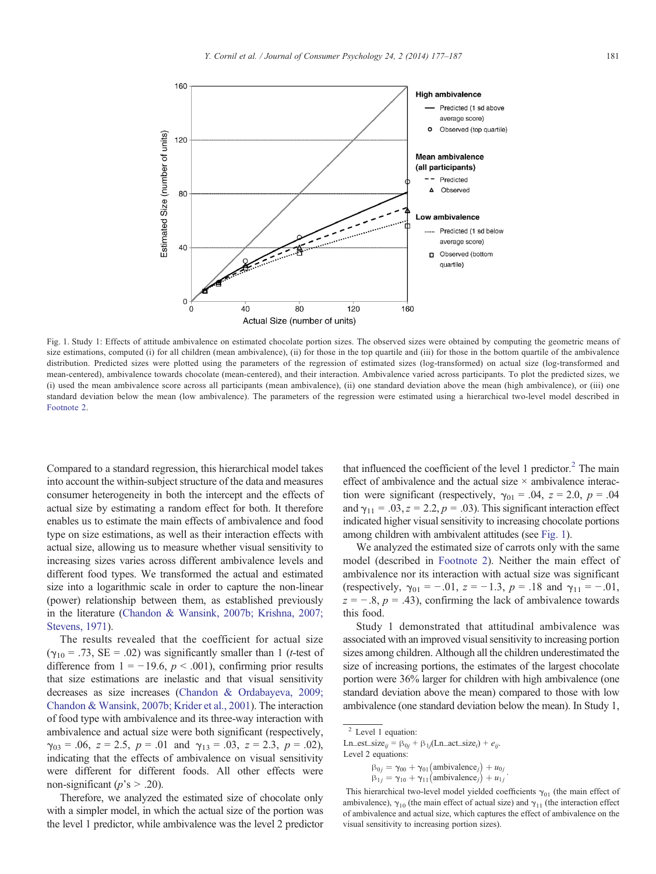

Fig. 1. Study 1: Effects of attitude ambivalence on estimated chocolate portion sizes. The observed sizes were obtained by computing the geometric means of size estimations, computed (i) for all children (mean ambivalence), (ii) for those in the top quartile and (iii) for those in the bottom quartile of the ambivalence distribution. Predicted sizes were plotted using the parameters of the regression of estimated sizes (log-transformed) on actual size (log-transformed and mean-centered), ambivalence towards chocolate (mean-centered), and their interaction. Ambivalence varied across participants. To plot the predicted sizes, we (i) used the mean ambivalence score across all participants (mean ambivalence), (ii) one standard deviation above the mean (high ambivalence), or (iii) one standard deviation below the mean (low ambivalence). The parameters of the regression were estimated using a hierarchical two-level model described in Footnote 2.

Compared to a standard regression, this hierarchical model takes into account the within-subject structure of the data and measures consumer heterogeneity in both the intercept and the effects of actual size by estimating a random effect for both. It therefore enables us to estimate the main effects of ambivalence and food type on size estimations, as well as their interaction effects with actual size, allowing us to measure whether visual sensitivity to increasing sizes varies across different ambivalence levels and different food types. We transformed the actual and estimated size into a logarithmic scale in order to capture the non-linear (power) relationship between them, as established previously in the literature [\(Chandon & Wansink, 2007b; Krishna, 2007;](#page-9-0) [Stevens, 1971](#page-9-0)).

The results revealed that the coefficient for actual size  $(\gamma_{10} = .73, SE = .02)$  was significantly smaller than 1 (*t*-test of difference from  $1 = -19.6$ ,  $p < .001$ ), confirming prior results that size estimations are inelastic and that visual sensitivity decreases as size increases ([Chandon & Ordabayeva, 2009;](#page-9-0) [Chandon & Wansink, 2007b; Krider et al., 2001\)](#page-9-0). The interaction of food type with ambivalence and its three-way interaction with ambivalence and actual size were both significant (respectively,  $\gamma_{03} = .06$ ,  $z = 2.5$ ,  $p = .01$  and  $\gamma_{13} = .03$ ,  $z = 2.3$ ,  $p = .02$ ), indicating that the effects of ambivalence on visual sensitivity were different for different foods. All other effects were non-significant ( $p$ 's  $> .20$ ).

Therefore, we analyzed the estimated size of chocolate only with a simpler model, in which the actual size of the portion was the level 1 predictor, while ambivalence was the level 2 predictor that influenced the coefficient of the level 1 predictor. $<sup>2</sup>$  The main</sup> effect of ambivalence and the actual size  $\times$  ambivalence interaction were significant (respectively,  $\gamma_{01} = .04$ ,  $z = 2.0$ ,  $p = .04$ and  $\gamma_{11} = .03$ ,  $z = 2.2$ ,  $p = .03$ ). This significant interaction effect indicated higher visual sensitivity to increasing chocolate portions among children with ambivalent attitudes (see Fig. 1).

We analyzed the estimated size of carrots only with the same model (described in Footnote 2). Neither the main effect of ambivalence nor its interaction with actual size was significant (respectively,  $\gamma_{01} = -.01$ ,  $z = -1.3$ ,  $p = .18$  and  $\gamma_{11} = -.01$ ,  $z = -.8$ ,  $p = .43$ ), confirming the lack of ambivalence towards this food.

Study 1 demonstrated that attitudinal ambivalence was associated with an improved visual sensitivity to increasing portion sizes among children. Although all the children underestimated the size of increasing portions, the estimates of the largest chocolate portion were 36% larger for children with high ambivalence (one standard deviation above the mean) compared to those with low ambivalence (one standard deviation below the mean). In Study 1,

 $\beta_{0j} = \gamma_{00} + \gamma_{01} \left( \text{ambivalence}_j \right) + u_{0j}$ 

 $\beta_{1j} = \gamma_{10} + \gamma_{11} \text{(ambivalence}_j) + u_{1j}$ :

<sup>&</sup>lt;sup>2</sup> Level 1 equation:

Ln\_est\_size<sub>ij</sub> =  $\beta_{0j}$  +  $\beta_{1j}$ (Ln\_act\_size<sub>i</sub>) +  $e_{ij}$ . Level 2 equations:

This hierarchical two-level model yielded coefficients  $\gamma_{01}$  (the main effect of ambivalence),  $\gamma_{10}$  (the main effect of actual size) and  $\gamma_{11}$  (the interaction effect of ambivalence and actual size, which captures the effect of ambivalence on the visual sensitivity to increasing portion sizes).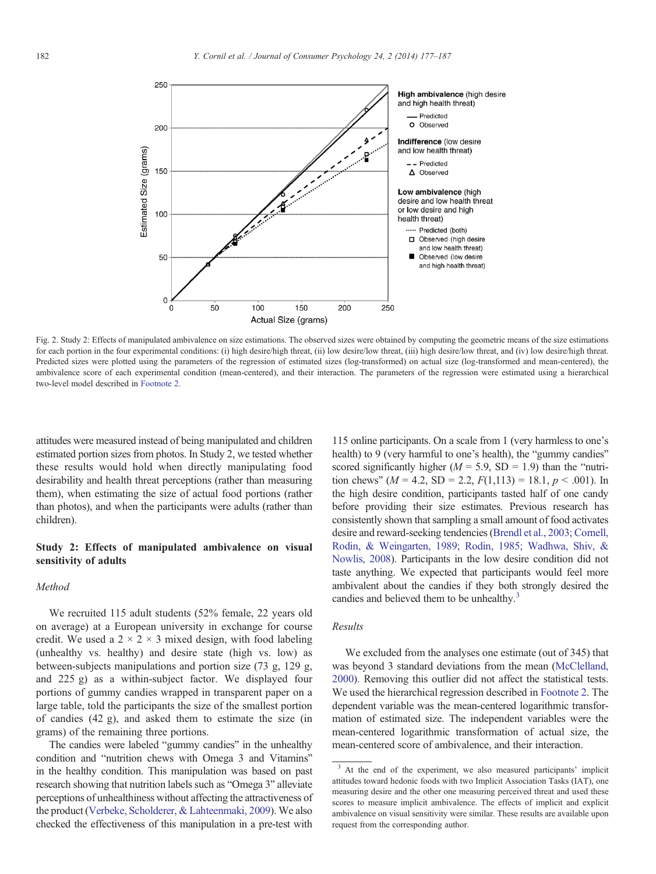<span id="page-5-0"></span>

Fig. 2. Study 2: Effects of manipulated ambivalence on size estimations. The observed sizes were obtained by computing the geometric means of the size estimations for each portion in the four experimental conditions: (i) high desire/high threat, (ii) low desire/low threat, (iii) high desire/low threat, and (iv) low desire/high threat. Predicted sizes were plotted using the parameters of the regression of estimated sizes (log-transformed) on actual size (log-transformed and mean-centered), the ambivalence score of each experimental condition (mean-centered), and their interaction. The parameters of the regression were estimated using a hierarchical two-level model described in Footnote 2.

attitudes were measured instead of being manipulated and children estimated portion sizes from photos. In Study 2, we tested whether these results would hold when directly manipulating food desirability and health threat perceptions (rather than measuring them), when estimating the size of actual food portions (rather than photos), and when the participants were adults (rather than children).

# Study 2: Effects of manipulated ambivalence on visual sensitivity of adults

#### Method

We recruited 115 adult students (52% female, 22 years old on average) at a European university in exchange for course credit. We used a  $2 \times 2 \times 3$  mixed design, with food labeling (unhealthy vs. healthy) and desire state (high vs. low) as between-subjects manipulations and portion size (73 g, 129 g, and 225 g) as a within-subject factor. We displayed four portions of gummy candies wrapped in transparent paper on a large table, told the participants the size of the smallest portion of candies (42 g), and asked them to estimate the size (in grams) of the remaining three portions.

The candies were labeled "gummy candies" in the unhealthy condition and "nutrition chews with Omega 3 and Vitamins" in the healthy condition. This manipulation was based on past research showing that nutrition labels such as "Omega 3" alleviate perceptions of unhealthiness without affecting the attractiveness of the product [\(Verbeke, Scholderer, & Lahteenmaki, 2009\)](#page-10-0). We also checked the effectiveness of this manipulation in a pre-test with 115 online participants. On a scale from 1 (very harmless to one's health) to 9 (very harmful to one's health), the "gummy candies" scored significantly higher ( $M = 5.9$ , SD = 1.9) than the "nutrition chews" ( $M = 4.2$ , SD = 2.2,  $F(1,113) = 18.1$ ,  $p < .001$ ). In the high desire condition, participants tasted half of one candy before providing their size estimates. Previous research has consistently shown that sampling a small amount of food activates desire and reward-seeking tendencies ([Brendl et al., 2003; Cornell,](#page-9-0) [Rodin, & Weingarten, 1989; Rodin, 1985; Wadhwa, Shiv, &](#page-9-0) [Nowlis, 2008\)](#page-9-0). Participants in the low desire condition did not taste anything. We expected that participants would feel more ambivalent about the candies if they both strongly desired the candies and believed them to be unhealthy.<sup>3</sup>

#### Results

We excluded from the analyses one estimate (out of 345) that was beyond 3 standard deviations from the mean [\(McClelland,](#page-9-0) [2000](#page-9-0)). Removing this outlier did not affect the statistical tests. We used the hierarchical regression described in Footnote 2. The dependent variable was the mean-centered logarithmic transformation of estimated size. The independent variables were the mean-centered logarithmic transformation of actual size, the mean-centered score of ambivalence, and their interaction.

<sup>&</sup>lt;sup>3</sup> At the end of the experiment, we also measured participants' implicit attitudes toward hedonic foods with two Implicit Association Tasks (IAT), one measuring desire and the other one measuring perceived threat and used these scores to measure implicit ambivalence. The effects of implicit and explicit ambivalence on visual sensitivity were similar. These results are available upon request from the corresponding author.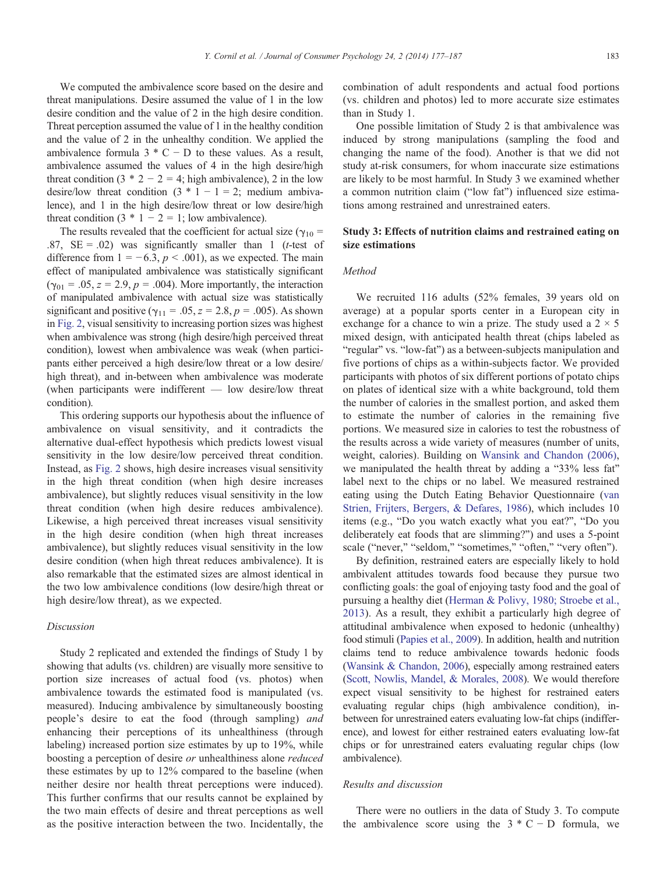We computed the ambivalence score based on the desire and threat manipulations. Desire assumed the value of 1 in the low desire condition and the value of 2 in the high desire condition. Threat perception assumed the value of 1 in the healthy condition and the value of 2 in the unhealthy condition. We applied the ambivalence formula  $3 * C - D$  to these values. As a result, ambivalence assumed the values of 4 in the high desire/high threat condition (3  $*$  2 – 2 = 4; high ambivalence), 2 in the low desire/low threat condition  $(3 * 1 - 1 = 2)$ ; medium ambivalence), and 1 in the high desire/low threat or low desire/high threat condition  $(3 * 1 - 2 = 1)$ ; low ambivalence).

The results revealed that the coefficient for actual size ( $\gamma_{10}$  =  $.87$ ,  $SE = .02$ ) was significantly smaller than 1 (*t*-test of difference from  $1 = -6.3$ ,  $p < .001$ ), as we expected. The main effect of manipulated ambivalence was statistically significant  $(\gamma_{01} = .05, z = 2.9, p = .004)$ . More importantly, the interaction of manipulated ambivalence with actual size was statistically significant and positive ( $\gamma_{11} = .05$ ,  $z = 2.8$ ,  $p = .005$ ). As shown in [Fig. 2,](#page-5-0) visual sensitivity to increasing portion sizes was highest when ambivalence was strong (high desire/high perceived threat condition), lowest when ambivalence was weak (when participants either perceived a high desire/low threat or a low desire/ high threat), and in-between when ambivalence was moderate (when participants were indifferent — low desire/low threat condition).

This ordering supports our hypothesis about the influence of ambivalence on visual sensitivity, and it contradicts the alternative dual-effect hypothesis which predicts lowest visual sensitivity in the low desire/low perceived threat condition. Instead, as [Fig. 2](#page-5-0) shows, high desire increases visual sensitivity in the high threat condition (when high desire increases ambivalence), but slightly reduces visual sensitivity in the low threat condition (when high desire reduces ambivalence). Likewise, a high perceived threat increases visual sensitivity in the high desire condition (when high threat increases ambivalence), but slightly reduces visual sensitivity in the low desire condition (when high threat reduces ambivalence). It is also remarkable that the estimated sizes are almost identical in the two low ambivalence conditions (low desire/high threat or high desire/low threat), as we expected.

#### Discussion

Study 2 replicated and extended the findings of Study 1 by showing that adults (vs. children) are visually more sensitive to portion size increases of actual food (vs. photos) when ambivalence towards the estimated food is manipulated (vs. measured). Inducing ambivalence by simultaneously boosting people's desire to eat the food (through sampling) and enhancing their perceptions of its unhealthiness (through labeling) increased portion size estimates by up to 19%, while boosting a perception of desire or unhealthiness alone reduced these estimates by up to 12% compared to the baseline (when neither desire nor health threat perceptions were induced). This further confirms that our results cannot be explained by the two main effects of desire and threat perceptions as well as the positive interaction between the two. Incidentally, the combination of adult respondents and actual food portions (vs. children and photos) led to more accurate size estimates than in Study 1.

One possible limitation of Study 2 is that ambivalence was induced by strong manipulations (sampling the food and changing the name of the food). Another is that we did not study at-risk consumers, for whom inaccurate size estimations are likely to be most harmful. In Study 3 we examined whether a common nutrition claim ("low fat") influenced size estimations among restrained and unrestrained eaters.

## Study 3: Effects of nutrition claims and restrained eating on size estimations

# Method

We recruited 116 adults (52% females, 39 years old on average) at a popular sports center in a European city in exchange for a chance to win a prize. The study used a  $2 \times 5$ mixed design, with anticipated health threat (chips labeled as "regular" vs. "low-fat") as a between-subjects manipulation and five portions of chips as a within-subjects factor. We provided participants with photos of six different portions of potato chips on plates of identical size with a white background, told them the number of calories in the smallest portion, and asked them to estimate the number of calories in the remaining five portions. We measured size in calories to test the robustness of the results across a wide variety of measures (number of units, weight, calories). Building on [Wansink and Chandon \(2006\)](#page-10-0), we manipulated the health threat by adding a "33% less fat" label next to the chips or no label. We measured restrained eating using the Dutch Eating Behavior Questionnaire [\(van](#page-10-0) [Strien, Frijters, Bergers, & Defares, 1986](#page-10-0)), which includes 10 items (e.g., "Do you watch exactly what you eat?", "Do you deliberately eat foods that are slimming?") and uses a 5-point scale ("never," "seldom," "sometimes," "often," "very often").

By definition, restrained eaters are especially likely to hold ambivalent attitudes towards food because they pursue two conflicting goals: the goal of enjoying tasty food and the goal of pursuing a healthy diet ([Herman & Polivy, 1980; Stroebe et al.,](#page-9-0) [2013](#page-9-0)). As a result, they exhibit a particularly high degree of attitudinal ambivalence when exposed to hedonic (unhealthy) food stimuli [\(Papies et al., 2009](#page-9-0)). In addition, health and nutrition claims tend to reduce ambivalence towards hedonic foods ([Wansink & Chandon, 2006\)](#page-10-0), especially among restrained eaters ([Scott, Nowlis, Mandel, & Morales, 2008](#page-10-0)). We would therefore expect visual sensitivity to be highest for restrained eaters evaluating regular chips (high ambivalence condition), inbetween for unrestrained eaters evaluating low-fat chips (indifference), and lowest for either restrained eaters evaluating low-fat chips or for unrestrained eaters evaluating regular chips (low ambivalence).

## Results and discussion

There were no outliers in the data of Study 3. To compute the ambivalence score using the  $3 * C - D$  formula, we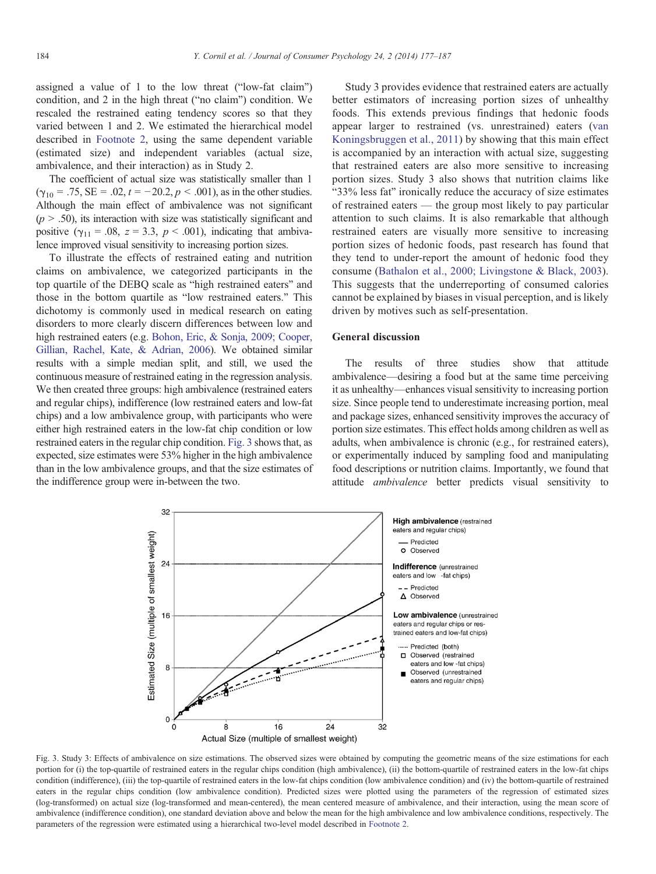assigned a value of 1 to the low threat ("low-fat claim") condition, and 2 in the high threat ("no claim") condition. We rescaled the restrained eating tendency scores so that they varied between 1 and 2. We estimated the hierarchical model described in Footnote 2, using the same dependent variable (estimated size) and independent variables (actual size, ambivalence, and their interaction) as in Study 2.

The coefficient of actual size was statistically smaller than 1  $(\gamma_{10} = .75, \text{SE} = .02, t = -20.2, p < .001)$ , as in the other studies. Although the main effect of ambivalence was not significant  $(p > .50)$ , its interaction with size was statistically significant and positive  $(\gamma_{11} = .08, z = 3.3, p < .001)$ , indicating that ambivalence improved visual sensitivity to increasing portion sizes.

To illustrate the effects of restrained eating and nutrition claims on ambivalence, we categorized participants in the top quartile of the DEBQ scale as "high restrained eaters" and those in the bottom quartile as "low restrained eaters." This dichotomy is commonly used in medical research on eating disorders to more clearly discern differences between low and high restrained eaters (e.g. [Bohon, Eric, & Sonja, 2009; Cooper,](#page-9-0) [Gillian, Rachel, Kate, & Adrian, 2006\)](#page-9-0). We obtained similar results with a simple median split, and still, we used the continuous measure of restrained eating in the regression analysis. We then created three groups: high ambivalence (restrained eaters and regular chips), indifference (low restrained eaters and low-fat chips) and a low ambivalence group, with participants who were either high restrained eaters in the low-fat chip condition or low restrained eaters in the regular chip condition. Fig. 3 shows that, as expected, size estimates were 53% higher in the high ambivalence than in the low ambivalence groups, and that the size estimates of the indifference group were in-between the two.

Study 3 provides evidence that restrained eaters are actually better estimators of increasing portion sizes of unhealthy foods. This extends previous findings that hedonic foods appear larger to restrained (vs. unrestrained) eaters [\(van](#page-10-0) [Koningsbruggen et al., 2011\)](#page-10-0) by showing that this main effect is accompanied by an interaction with actual size, suggesting that restrained eaters are also more sensitive to increasing portion sizes. Study 3 also shows that nutrition claims like "33% less fat" ironically reduce the accuracy of size estimates of restrained eaters — the group most likely to pay particular attention to such claims. It is also remarkable that although restrained eaters are visually more sensitive to increasing portion sizes of hedonic foods, past research has found that they tend to under-report the amount of hedonic food they consume ([Bathalon et al., 2000; Livingstone & Black, 2003\)](#page-9-0). This suggests that the underreporting of consumed calories cannot be explained by biases in visual perception, and is likely driven by motives such as self-presentation.

#### General discussion

The results of three studies show that attitude ambivalence—desiring a food but at the same time perceiving it as unhealthy—enhances visual sensitivity to increasing portion size. Since people tend to underestimate increasing portion, meal and package sizes, enhanced sensitivity improves the accuracy of portion size estimates. This effect holds among children as well as adults, when ambivalence is chronic (e.g., for restrained eaters), or experimentally induced by sampling food and manipulating food descriptions or nutrition claims. Importantly, we found that attitude ambivalence better predicts visual sensitivity to



Fig. 3. Study 3: Effects of ambivalence on size estimations. The observed sizes were obtained by computing the geometric means of the size estimations for each portion for (i) the top-quartile of restrained eaters in the regular chips condition (high ambivalence), (ii) the bottom-quartile of restrained eaters in the low-fat chips condition (indifference), (iii) the top-quartile of restrained eaters in the low-fat chips condition (low ambivalence condition) and (iv) the bottom-quartile of restrained eaters in the regular chips condition (low ambivalence condition). Predicted sizes were plotted using the parameters of the regression of estimated sizes (log-transformed) on actual size (log-transformed and mean-centered), the mean centered measure of ambivalence, and their interaction, using the mean score of ambivalence (indifference condition), one standard deviation above and below the mean for the high ambivalence and low ambivalence conditions, respectively. The parameters of the regression were estimated using a hierarchical two-level model described in Footnote 2.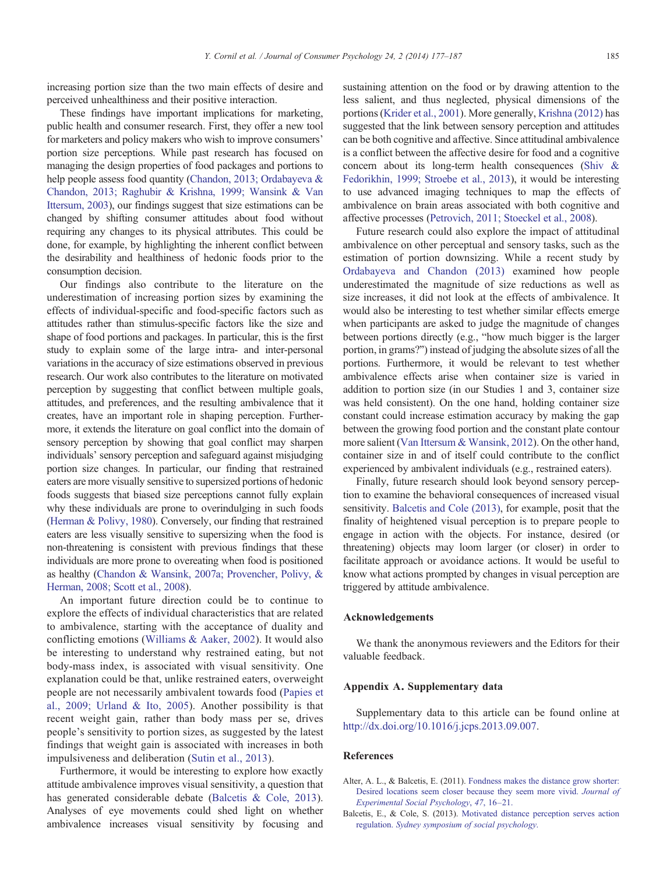<span id="page-8-0"></span>increasing portion size than the two main effects of desire and perceived unhealthiness and their positive interaction.

These findings have important implications for marketing, public health and consumer research. First, they offer a new tool for marketers and policy makers who wish to improve consumers' portion size perceptions. While past research has focused on managing the design properties of food packages and portions to help people assess food quantity ([Chandon, 2013; Ordabayeva &](#page-9-0) [Chandon, 2013; Raghubir & Krishna, 1999; Wansink & Van](#page-9-0) [Ittersum, 2003\)](#page-9-0), our findings suggest that size estimations can be changed by shifting consumer attitudes about food without requiring any changes to its physical attributes. This could be done, for example, by highlighting the inherent conflict between the desirability and healthiness of hedonic foods prior to the consumption decision.

Our findings also contribute to the literature on the underestimation of increasing portion sizes by examining the effects of individual-specific and food-specific factors such as attitudes rather than stimulus-specific factors like the size and shape of food portions and packages. In particular, this is the first study to explain some of the large intra- and inter-personal variations in the accuracy of size estimations observed in previous research. Our work also contributes to the literature on motivated perception by suggesting that conflict between multiple goals, attitudes, and preferences, and the resulting ambivalence that it creates, have an important role in shaping perception. Furthermore, it extends the literature on goal conflict into the domain of sensory perception by showing that goal conflict may sharpen individuals' sensory perception and safeguard against misjudging portion size changes. In particular, our finding that restrained eaters are more visually sensitive to supersized portions of hedonic foods suggests that biased size perceptions cannot fully explain why these individuals are prone to overindulging in such foods ([Herman & Polivy, 1980](#page-9-0)). Conversely, our finding that restrained eaters are less visually sensitive to supersizing when the food is non-threatening is consistent with previous findings that these individuals are more prone to overeating when food is positioned as healthy [\(Chandon & Wansink, 2007a; Provencher, Polivy, &](#page-9-0) [Herman, 2008; Scott et al., 2008](#page-9-0)).

An important future direction could be to continue to explore the effects of individual characteristics that are related to ambivalence, starting with the acceptance of duality and conflicting emotions ([Williams & Aaker, 2002](#page-10-0)). It would also be interesting to understand why restrained eating, but not body-mass index, is associated with visual sensitivity. One explanation could be that, unlike restrained eaters, overweight people are not necessarily ambivalent towards food [\(Papies et](#page-9-0) [al., 2009; Urland & Ito, 2005\)](#page-9-0). Another possibility is that recent weight gain, rather than body mass per se, drives people's sensitivity to portion sizes, as suggested by the latest findings that weight gain is associated with increases in both impulsiveness and deliberation ([Sutin et al., 2013](#page-10-0)).

Furthermore, it would be interesting to explore how exactly attitude ambivalence improves visual sensitivity, a question that has generated considerable debate (Balcetis & Cole, 2013). Analyses of eye movements could shed light on whether ambivalence increases visual sensitivity by focusing and sustaining attention on the food or by drawing attention to the less salient, and thus neglected, physical dimensions of the portions [\(Krider et al., 2001\)](#page-9-0). More generally, [Krishna \(2012\)](#page-9-0) has suggested that the link between sensory perception and attitudes can be both cognitive and affective. Since attitudinal ambivalence is a conflict between the affective desire for food and a cognitive concern about its long-term health consequences [\(Shiv &](#page-10-0) [Fedorikhin, 1999; Stroebe et al., 2013\)](#page-10-0), it would be interesting to use advanced imaging techniques to map the effects of ambivalence on brain areas associated with both cognitive and affective processes ([Petrovich, 2011; Stoeckel et al., 2008](#page-9-0)).

Future research could also explore the impact of attitudinal ambivalence on other perceptual and sensory tasks, such as the estimation of portion downsizing. While a recent study by [Ordabayeva and Chandon \(2013\)](#page-9-0) examined how people underestimated the magnitude of size reductions as well as size increases, it did not look at the effects of ambivalence. It would also be interesting to test whether similar effects emerge when participants are asked to judge the magnitude of changes between portions directly (e.g., "how much bigger is the larger portion, in grams?") instead of judging the absolute sizes of all the portions. Furthermore, it would be relevant to test whether ambivalence effects arise when container size is varied in addition to portion size (in our Studies 1 and 3, container size was held consistent). On the one hand, holding container size constant could increase estimation accuracy by making the gap between the growing food portion and the constant plate contour more salient ([Van Ittersum & Wansink, 2012](#page-10-0)). On the other hand, container size in and of itself could contribute to the conflict experienced by ambivalent individuals (e.g., restrained eaters).

Finally, future research should look beyond sensory perception to examine the behavioral consequences of increased visual sensitivity. Balcetis and Cole (2013), for example, posit that the finality of heightened visual perception is to prepare people to engage in action with the objects. For instance, desired (or threatening) objects may loom larger (or closer) in order to facilitate approach or avoidance actions. It would be useful to know what actions prompted by changes in visual perception are triggered by attitude ambivalence.

#### Acknowledgements

We thank the anonymous reviewers and the Editors for their valuable feedback.

## Appendix A. Supplementary data

Supplementary data to this article can be found online at <http://dx.doi.org/10.1016/j.jcps.2013.09.007>.

### References

- Alter, A. L., & Balcetis, E. (2011). [Fondness makes the distance grow shorter:](http://refhub.elsevier.com/S1057-7408(13)00086-7/rf0005) [Desired locations seem closer because they seem more vivid.](http://refhub.elsevier.com/S1057-7408(13)00086-7/rf0005) Journal of [Experimental Social Psychology](http://refhub.elsevier.com/S1057-7408(13)00086-7/rf0005), 47, 16–21.
- Balcetis, E., & Cole, S. (2013). [Motivated distance perception serves action](http://refhub.elsevier.com/S1057-7408(13)00086-7/rf0365) regulation. [Sydney symposium of social psychology](http://refhub.elsevier.com/S1057-7408(13)00086-7/rf0365).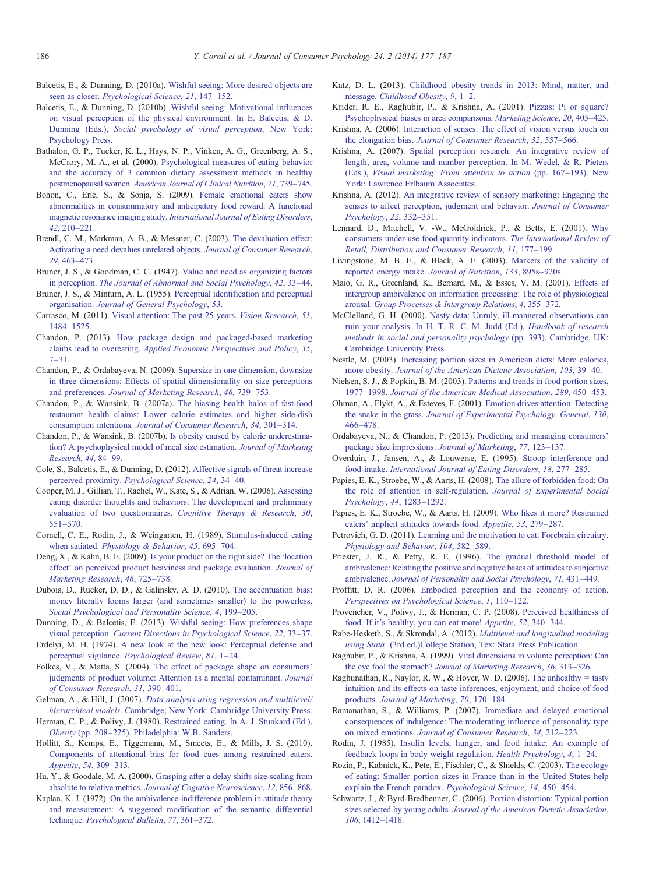- <span id="page-9-0"></span>Balcetis, E., & Dunning, D. (2010a). [Wishful seeing: More desired objects are](http://refhub.elsevier.com/S1057-7408(13)00086-7/rf0010) seen as closer. [Psychological Science](http://refhub.elsevier.com/S1057-7408(13)00086-7/rf0010), 21, 147–152.
- Balcetis, E., & Dunning, D. (2010b). [Wishful seeing: Motivational influences](http://refhub.elsevier.com/S1057-7408(13)00086-7/rf0015) [on visual perception of the physical environment. In E. Balcetis, & D.](http://refhub.elsevier.com/S1057-7408(13)00086-7/rf0015) Dunning (Eds.), [Social psychology of visual perception](http://refhub.elsevier.com/S1057-7408(13)00086-7/rf0015). New York: [Psychology Press.](http://refhub.elsevier.com/S1057-7408(13)00086-7/rf0015)
- Bathalon, G. P., Tucker, K. L., Hays, N. P., Vinken, A. G., Greenberg, A. S., McCrory, M. A., et al. (2000). [Psychological measures of eating behavior](http://refhub.elsevier.com/S1057-7408(13)00086-7/rf0020) [and the accuracy of 3 common dietary assessment methods in healthy](http://refhub.elsevier.com/S1057-7408(13)00086-7/rf0020) postmenopausal women. [American Journal of Clinical Nutrition](http://refhub.elsevier.com/S1057-7408(13)00086-7/rf0020), 71, 739–745.
- Bohon, C., Eric, S., & Sonja, S. (2009). [Female emotional eaters show](http://refhub.elsevier.com/S1057-7408(13)00086-7/rf0025) [abnormalities in consummatory and anticipatory food reward: A functional](http://refhub.elsevier.com/S1057-7408(13)00086-7/rf0025) magnetic resonance imaging study. [International Journal of Eating Disorders](http://refhub.elsevier.com/S1057-7408(13)00086-7/rf0025), 42[, 210](http://refhub.elsevier.com/S1057-7408(13)00086-7/rf0025)–221.
- Brendl, C. M., Markman, A. B., & Messner, C. (2003). [The devaluation effect:](http://refhub.elsevier.com/S1057-7408(13)00086-7/rf0030) [Activating a need devalues unrelated objects.](http://refhub.elsevier.com/S1057-7408(13)00086-7/rf0030) Journal of Consumer Research, 29[, 463](http://refhub.elsevier.com/S1057-7408(13)00086-7/rf0030)–473.
- Bruner, J. S., & Goodman, C. C. (1947). [Value and need as organizing factors](http://refhub.elsevier.com/S1057-7408(13)00086-7/rf0035) in perception. [The Journal of Abnormal and Social Psychology](http://refhub.elsevier.com/S1057-7408(13)00086-7/rf0035), 42, 33–44.
- Bruner, J. S., & Minturn, A. L. (1955). [Perceptual identification and perceptual](http://refhub.elsevier.com/S1057-7408(13)00086-7/rf0040) organisation. [Journal of General Psychology](http://refhub.elsevier.com/S1057-7408(13)00086-7/rf0040), 53.
- Carrasco, M. (2011). [Visual attention: The past 25 years.](http://refhub.elsevier.com/S1057-7408(13)00086-7/rf0045) Vision Research, 51, 1484–[1525.](http://refhub.elsevier.com/S1057-7408(13)00086-7/rf0045)
- Chandon, P. (2013). [How package design and packaged-based marketing](http://refhub.elsevier.com/S1057-7408(13)00086-7/rf0050) claims lead to overeating. [Applied Economic Perspectives and Policy](http://refhub.elsevier.com/S1057-7408(13)00086-7/rf0050), 35, 7–[31.](http://refhub.elsevier.com/S1057-7408(13)00086-7/rf0050)
- Chandon, P., & Ordabayeva, N. (2009). [Supersize in one dimension, downsize](http://refhub.elsevier.com/S1057-7408(13)00086-7/rf0055) [in three dimensions: Effects of spatial dimensionality on size perceptions](http://refhub.elsevier.com/S1057-7408(13)00086-7/rf0055) and preferences. [Journal of Marketing Research](http://refhub.elsevier.com/S1057-7408(13)00086-7/rf0055), 46, 739–753.
- Chandon, P., & Wansink, B. (2007a). [The biasing health halos of fast-food](http://refhub.elsevier.com/S1057-7408(13)00086-7/rf0060) [restaurant health claims: Lower calorie estimates and higher side-dish](http://refhub.elsevier.com/S1057-7408(13)00086-7/rf0060) consumption intentions. [Journal of Consumer Research](http://refhub.elsevier.com/S1057-7408(13)00086-7/rf0060), 34, 301–314.
- Chandon, P., & Wansink, B. (2007b). [Is obesity caused by calorie underestima](http://refhub.elsevier.com/S1057-7408(13)00086-7/rf0065)[tion? A psychophysical model of meal size estimation.](http://refhub.elsevier.com/S1057-7408(13)00086-7/rf0065) Journal of Marketing [Research](http://refhub.elsevier.com/S1057-7408(13)00086-7/rf0065), 44, 84–99.
- Cole, S., Balcetis, E., & Dunning, D. (2012). [Affective signals of threat increase](http://refhub.elsevier.com/S1057-7408(13)00086-7/rf0070) perceived proximity. [Psychological Science](http://refhub.elsevier.com/S1057-7408(13)00086-7/rf0070), 24, 34–40.
- Cooper, M. J., Gillian, T., Rachel, W., Kate, S., & Adrian, W. (2006). [Assessing](http://refhub.elsevier.com/S1057-7408(13)00086-7/rf0075) [eating disorder thoughts and behaviors: The development and preliminary](http://refhub.elsevier.com/S1057-7408(13)00086-7/rf0075) [evaluation of two questionnaires.](http://refhub.elsevier.com/S1057-7408(13)00086-7/rf0075) Cognitive Therapy & Research, 30, 551–[570.](http://refhub.elsevier.com/S1057-7408(13)00086-7/rf0075)
- Cornell, C. E., Rodin, J., & Weingarten, H. (1989). [Stimulus-induced eating](http://refhub.elsevier.com/S1057-7408(13)00086-7/rf0080) when satiated. [Physiology & Behavior](http://refhub.elsevier.com/S1057-7408(13)00086-7/rf0080), 45, 695–704.
- Deng, X., & Kahn, B. E. (2009). [Is your product on the right side? The](http://refhub.elsevier.com/S1057-7408(13)00086-7/rf0085) 'location effect' [on perceived product heaviness and package evaluation.](http://refhub.elsevier.com/S1057-7408(13)00086-7/rf0085) Journal of [Marketing Research](http://refhub.elsevier.com/S1057-7408(13)00086-7/rf0085), 46, 725–738.
- Dubois, D., Rucker, D. D., & Galinsky, A. D. (2010). [The accentuation bias:](http://refhub.elsevier.com/S1057-7408(13)00086-7/rf0370) [money literally looms larger \(and sometimes smaller\) to the powerless.](http://refhub.elsevier.com/S1057-7408(13)00086-7/rf0370) [Social Psychological and Personality Science](http://refhub.elsevier.com/S1057-7408(13)00086-7/rf0370), 4, 199–205.
- Dunning, D., & Balcetis, E. (2013). [Wishful seeing: How preferences shape](http://refhub.elsevier.com/S1057-7408(13)00086-7/rf0095) visual perception. [Current Directions in Psychological Science](http://refhub.elsevier.com/S1057-7408(13)00086-7/rf0095), 22, 33–37.
- Erdelyi, M. H. (1974). [A new look at the new look: Perceptual defense and](http://refhub.elsevier.com/S1057-7408(13)00086-7/rf0100) perceptual vigilance. [Psychological Review](http://refhub.elsevier.com/S1057-7408(13)00086-7/rf0100), 81, 1–24.
- Folkes, V., & Matta, S. (2004). [The effect of package shape on consumers'](http://refhub.elsevier.com/S1057-7408(13)00086-7/rf0105) [judgments of product volume: Attention as a mental contaminant.](http://refhub.elsevier.com/S1057-7408(13)00086-7/rf0105) Journal [of Consumer Research](http://refhub.elsevier.com/S1057-7408(13)00086-7/rf0105), 31, 390–401.
- Gelman, A., & Hill, J. (2007). [Data analysis using regression and multilevel/](http://refhub.elsevier.com/S1057-7408(13)00086-7/rf0375) hierarchical models. [Cambridge; New York: Cambridge University Press.](http://refhub.elsevier.com/S1057-7408(13)00086-7/rf0375)
- Herman, C. P., & Polivy, J. (1980). [Restrained eating. In A. J. Stunkard \(Ed.\),](http://refhub.elsevier.com/S1057-7408(13)00086-7/rf0110) Obesity (pp. 208–[225\). Philadelphia: W.B. Sanders.](http://refhub.elsevier.com/S1057-7408(13)00086-7/rf0110)
- Hollitt, S., Kemps, E., Tiggemann, M., Smeets, E., & Mills, J. S. (2010). [Components of attentional bias for food cues among restrained eaters.](http://refhub.elsevier.com/S1057-7408(13)00086-7/rf0115) [Appetite](http://refhub.elsevier.com/S1057-7408(13)00086-7/rf0115), 54, 309–313.
- Hu, Y., & Goodale, M. A. (2000). [Grasping after a delay shifts size-scaling from](http://refhub.elsevier.com/S1057-7408(13)00086-7/rf0120) absolute to relative metrics. [Journal of Cognitive Neuroscience](http://refhub.elsevier.com/S1057-7408(13)00086-7/rf0120), 12, 856–868.
- Kaplan, K. J. (1972). [On the ambivalence-indifference problem in attitude theory](http://refhub.elsevier.com/S1057-7408(13)00086-7/rf0125) [and measurement: A suggested modification of the semantic differential](http://refhub.elsevier.com/S1057-7408(13)00086-7/rf0125) technique. [Psychological Bulletin](http://refhub.elsevier.com/S1057-7408(13)00086-7/rf0125), 77, 361–372.
- Katz, D. L. (2013). [Childhood obesity trends in 2013: Mind, matter, and](http://refhub.elsevier.com/S1057-7408(13)00086-7/rf0130) message. [Childhood Obesity](http://refhub.elsevier.com/S1057-7408(13)00086-7/rf0130), 9, 1–2.
- Krider, R. E., Raghubir, P., & Krishna, A. (2001). [Pizzas: Pi or square?](http://refhub.elsevier.com/S1057-7408(13)00086-7/rf0135) [Psychophysical biases in area comparisons.](http://refhub.elsevier.com/S1057-7408(13)00086-7/rf0135) Marketing Science, 20, 405–425.
- Krishna, A. (2006). [Interaction of senses: The effect of vision versus touch on](http://refhub.elsevier.com/S1057-7408(13)00086-7/rf0140) the elongation bias. [Journal of Consumer Research](http://refhub.elsevier.com/S1057-7408(13)00086-7/rf0140), 32, 557–566.
- Krishna, A. (2007). [Spatial perception research: An integrative review of](http://refhub.elsevier.com/S1057-7408(13)00086-7/rf0145) [length, area, volume and number perception. In M. Wedel, & R. Pieters](http://refhub.elsevier.com/S1057-7408(13)00086-7/rf0145) (Eds.), [Visual marketing: From attention to action](http://refhub.elsevier.com/S1057-7408(13)00086-7/rf0145) (pp. 167–193). New [York: Lawrence Erlbaum Associates.](http://refhub.elsevier.com/S1057-7408(13)00086-7/rf0145)
- Krishna, A. (2012). [An integrative review of sensory marketing: Engaging the](http://refhub.elsevier.com/S1057-7408(13)00086-7/rf0150) [senses to affect perception, judgment and behavior.](http://refhub.elsevier.com/S1057-7408(13)00086-7/rf0150) Journal of Consumer [Psychology](http://refhub.elsevier.com/S1057-7408(13)00086-7/rf0150), 22, 332–351.
- Lennard, D., Mitchell, V. -W., McGoldrick, P., & Betts, E. (2001). [Why](http://refhub.elsevier.com/S1057-7408(13)00086-7/rf0155) [consumers under-use food quantity indicators.](http://refhub.elsevier.com/S1057-7408(13)00086-7/rf0155) The International Review of [Retail, Distribution and Consumer Research](http://refhub.elsevier.com/S1057-7408(13)00086-7/rf0155), 11, 177–199.
- Livingstone, M. B. E., & Black, A. E. (2003). [Markers of the validity of](http://refhub.elsevier.com/S1057-7408(13)00086-7/rf0160) [reported energy intake.](http://refhub.elsevier.com/S1057-7408(13)00086-7/rf0160) Journal of Nutrition, 133, 895s–920s.
- Maio, G. R., Greenland, K., Bernard, M., & Esses, V. M. (2001). [Effects of](http://refhub.elsevier.com/S1057-7408(13)00086-7/rf0165) [intergroup ambivalence on information processing: The role of physiological](http://refhub.elsevier.com/S1057-7408(13)00086-7/rf0165) arousal. [Group Processes & Intergroup Relations](http://refhub.elsevier.com/S1057-7408(13)00086-7/rf0165), 4, 355–372.
- McClelland, G. H. (2000). [Nasty data: Unruly, ill-mannered observations can](http://refhub.elsevier.com/S1057-7408(13)00086-7/rf0380) [ruin your analysis. In H. T. R. C. M. Judd \(Ed.\),](http://refhub.elsevier.com/S1057-7408(13)00086-7/rf0380) Handbook of research [methods in social and personality psychology](http://refhub.elsevier.com/S1057-7408(13)00086-7/rf0380) (pp. 393). Cambridge, UK: [Cambridge University Press.](http://refhub.elsevier.com/S1057-7408(13)00086-7/rf0380)
- Nestle, M. (2003). [Increasing portion sizes in American diets: More calories,](http://refhub.elsevier.com/S1057-7408(13)00086-7/rf0175) more obesity. [Journal of the American Dietetic Association](http://refhub.elsevier.com/S1057-7408(13)00086-7/rf0175), 103, 39–40.
- Nielsen, S. J., & Popkin, B. M. (2003). [Patterns and trends in food portion sizes,](http://refhub.elsevier.com/S1057-7408(13)00086-7/rf0180) 1977–1998. [Journal of the American Medical Association](http://refhub.elsevier.com/S1057-7408(13)00086-7/rf0180), 289, 450–453.
- Ohman, A., Flykt, A., & Esteves, F. (2001). [Emotion drives attention: Detecting](http://refhub.elsevier.com/S1057-7408(13)00086-7/rf0185) the snake in the grass. [Journal of Experimental Psychology. General](http://refhub.elsevier.com/S1057-7408(13)00086-7/rf0185), 130, 466–[478.](http://refhub.elsevier.com/S1057-7408(13)00086-7/rf0185)
- Ordabayeva, N., & Chandon, P. (2013). [Predicting and managing consumers'](http://refhub.elsevier.com/S1057-7408(13)00086-7/rf0190) [package size impressions.](http://refhub.elsevier.com/S1057-7408(13)00086-7/rf0190) Journal of Marketing, 77, 123–137.
- Overduin, J., Jansen, A., & Louwerse, E. (1995). [Stroop interference and](http://refhub.elsevier.com/S1057-7408(13)00086-7/rf0195) food-intake. [International Journal of Eating Disorders](http://refhub.elsevier.com/S1057-7408(13)00086-7/rf0195), 18, 277–285.
- Papies, E. K., Stroebe, W., & Aarts, H. (2008). [The allure of forbidden food: On](http://refhub.elsevier.com/S1057-7408(13)00086-7/rf0200) [the role of attention in self-regulation.](http://refhub.elsevier.com/S1057-7408(13)00086-7/rf0200) Journal of Experimental Social [Psychology](http://refhub.elsevier.com/S1057-7408(13)00086-7/rf0200), 44, 1283–1292.
- Papies, E. K., Stroebe, W., & Aarts, H. (2009). [Who likes it more? Restrained](http://refhub.elsevier.com/S1057-7408(13)00086-7/rf0205) [eaters' implicit attitudes towards food.](http://refhub.elsevier.com/S1057-7408(13)00086-7/rf0205) Appetite, 53, 279–287.
- Petrovich, G. D. (2011). [Learning and the motivation to eat: Forebrain circuitry.](http://refhub.elsevier.com/S1057-7408(13)00086-7/rf0210) [Physiology and Behavior](http://refhub.elsevier.com/S1057-7408(13)00086-7/rf0210), 104, 582–589.
- Priester, J. R., & Petty, R. E. (1996). [The gradual threshold model of](http://refhub.elsevier.com/S1057-7408(13)00086-7/rf0215) [ambivalence: Relating the positive and negative bases of attitudes to subjective](http://refhub.elsevier.com/S1057-7408(13)00086-7/rf0215) ambivalence. [Journal of Personality and Social Psychology](http://refhub.elsevier.com/S1057-7408(13)00086-7/rf0215), 71, 431–449.
- Proffitt, D. R. (2006). [Embodied perception and the economy of action.](http://refhub.elsevier.com/S1057-7408(13)00086-7/rf0220) [Perspectives on Psychological Science](http://refhub.elsevier.com/S1057-7408(13)00086-7/rf0220), 1, 110–122.
- Provencher, V., Polivy, J., & Herman, C. P. (2008). [Perceived healthiness of](http://refhub.elsevier.com/S1057-7408(13)00086-7/rf0385) [food. If it's healthy, you can eat more!](http://refhub.elsevier.com/S1057-7408(13)00086-7/rf0385) Appetite, 52, 340–344.
- Rabe-Hesketh, S., & Skrondal, A. (2012). [Multilevel and longitudinal modeling](http://refhub.elsevier.com/S1057-7408(13)00086-7/rf0390) using Stata [\(3rd ed.\)College Station, Tex: Stata Press Publication.](http://refhub.elsevier.com/S1057-7408(13)00086-7/rf0390)
- Raghubir, P., & Krishna, A. (1999). [Vital dimensions in volume perception: Can](http://refhub.elsevier.com/S1057-7408(13)00086-7/rf0225) the eye fool the stomach? [Journal of Marketing Research](http://refhub.elsevier.com/S1057-7408(13)00086-7/rf0225), 36, 313–326.
- Raghunathan, R., Naylor, R. W., & Hoyer, W. D. (2006). The unhealthy  $=$  tasty [intuition and its effects on taste inferences, enjoyment, and choice of food](http://refhub.elsevier.com/S1057-7408(13)00086-7/rf0230) products. [Journal of Marketing](http://refhub.elsevier.com/S1057-7408(13)00086-7/rf0230), 70, 170–184.
- Ramanathan, S., & Williams, P. (2007). [Immediate and delayed emotional](http://refhub.elsevier.com/S1057-7408(13)00086-7/rf0235) [consequences of indulgence: The moderating influence of personality type](http://refhub.elsevier.com/S1057-7408(13)00086-7/rf0235) on mixed emotions. [Journal of Consumer Research](http://refhub.elsevier.com/S1057-7408(13)00086-7/rf0235), 34, 212–223.
- Rodin, J. (1985). [Insulin levels, hunger, and food intake: An example of](http://refhub.elsevier.com/S1057-7408(13)00086-7/rf0240) [feedback loops in body weight regulation.](http://refhub.elsevier.com/S1057-7408(13)00086-7/rf0240) Health Psychology, 4, 1–24.
- Rozin, P., Kabnick, K., Pete, E., Fischler, C., & Shields, C. (2003). [The ecology](http://refhub.elsevier.com/S1057-7408(13)00086-7/rf0245) [of eating: Smaller portion sizes in France than in the United States help](http://refhub.elsevier.com/S1057-7408(13)00086-7/rf0245) [explain the French paradox.](http://refhub.elsevier.com/S1057-7408(13)00086-7/rf0245) Psychological Science, 14, 450–454.
- Schwartz, J., & Byrd-Bredbenner, C. (2006). [Portion distortion: Typical portion](http://refhub.elsevier.com/S1057-7408(13)00086-7/rf0250) sizes selected by young adults. [Journal of the American Dietetic Association](http://refhub.elsevier.com/S1057-7408(13)00086-7/rf0250), 106[, 1412](http://refhub.elsevier.com/S1057-7408(13)00086-7/rf0250)–1418.